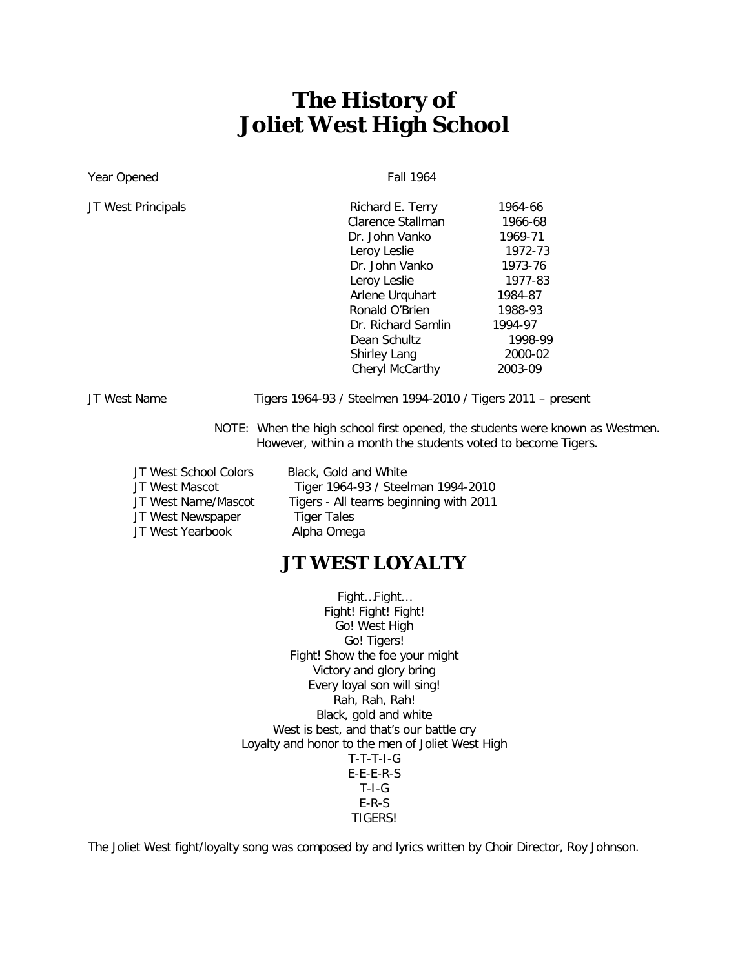# **The History of Joliet West High School**

Year Opened Fall 1964

JT West Principals

| JT West Principals | Richard E. Terry    | 1964-66 |
|--------------------|---------------------|---------|
|                    | Clarence Stallman   | 1966-68 |
|                    | Dr. John Vanko      | 1969-71 |
|                    | Leroy Leslie        | 1972-73 |
|                    | Dr. John Vanko      | 1973-76 |
|                    | Leroy Leslie        | 1977-83 |
|                    | Arlene Urguhart     | 1984-87 |
|                    | Ronald O'Brien      | 1988-93 |
|                    | Dr. Richard Samlin  | 1994-97 |
|                    | Dean Schultz        | 1998-99 |
|                    | <b>Shirley Lang</b> | 2000-02 |
|                    | Cheryl McCarthy     | 2003-09 |
|                    |                     |         |

JT West Name Tigers 1964-93 / Steelmen 1994-2010 / Tigers 2011 – present

- NOTE: When the high school first opened, the students were known as Westmen. However, within a month the students voted to become Tigers.
- JT West School Colors Black, Gold and White JT West Newspaper JT West Yearbook Alpha Omega

JT West Mascot Tiger 1964-93 / Steelman 1994-2010<br>JT West Name/Mascot Tigers - All teams beginning with 2011 Tigers - All teams beginning with 2011<br>Tiger Tales

#### **JT WEST LOYALTY**

Fight…Fight… Fight! Fight! Fight! Go! West High Go! Tigers! Fight! Show the foe your might Victory and glory bring Every loyal son will sing! Rah, Rah, Rah! Black, gold and white West is best, and that's our battle cry Loyalty and honor to the men of Joliet West High T-T-T-I-G E-E-E-R-S T-I-G E-R-S TIGERS!

The Joliet West fight/loyalty song was composed by and lyrics written by Choir Director, Roy Johnson.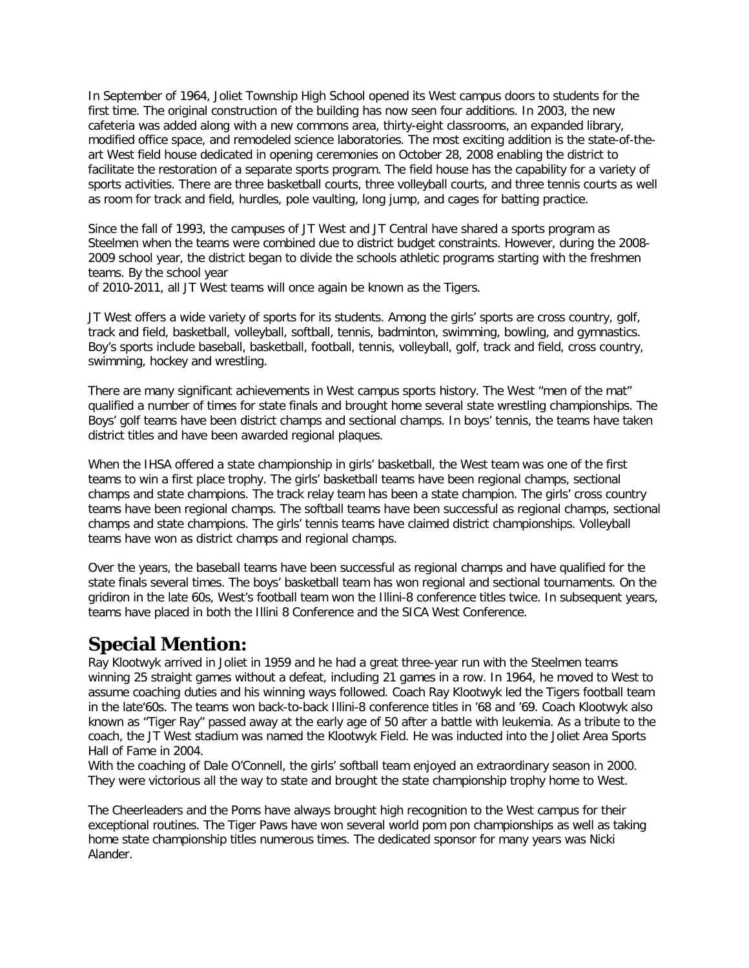In September of 1964, Joliet Township High School opened its West campus doors to students for the first time. The original construction of the building has now seen four additions. In 2003, the new cafeteria was added along with a new commons area, thirty-eight classrooms, an expanded library, modified office space, and remodeled science laboratories. The most exciting addition is the state-of-theart West field house dedicated in opening ceremonies on October 28, 2008 enabling the district to facilitate the restoration of a separate sports program. The field house has the capability for a variety of sports activities. There are three basketball courts, three volleyball courts, and three tennis courts as well as room for track and field, hurdles, pole vaulting, long jump, and cages for batting practice.

Since the fall of 1993, the campuses of JT West and JT Central have shared a sports program as Steelmen when the teams were combined due to district budget constraints. However, during the 2008- 2009 school year, the district began to divide the schools athletic programs starting with the freshmen teams. By the school year

of 2010-2011, all JT West teams will once again be known as the Tigers.

JT West offers a wide variety of sports for its students. Among the girls' sports are cross country, golf, track and field, basketball, volleyball, softball, tennis, badminton, swimming, bowling, and gymnastics. Boy's sports include baseball, basketball, football, tennis, volleyball, golf, track and field, cross country, swimming, hockey and wrestling.

There are many significant achievements in West campus sports history. The West "men of the mat" qualified a number of times for state finals and brought home several state wrestling championships. The Boys' golf teams have been district champs and sectional champs. In boys' tennis, the teams have taken district titles and have been awarded regional plaques.

When the IHSA offered a state championship in girls' basketball, the West team was one of the first teams to win a first place trophy. The girls' basketball teams have been regional champs, sectional champs and state champions. The track relay team has been a state champion. The girls' cross country teams have been regional champs. The softball teams have been successful as regional champs, sectional champs and state champions. The girls' tennis teams have claimed district championships. Volleyball teams have won as district champs and regional champs.

Over the years, the baseball teams have been successful as regional champs and have qualified for the state finals several times. The boys' basketball team has won regional and sectional tournaments. On the gridiron in the late 60s, West's football team won the Illini-8 conference titles twice. In subsequent years, teams have placed in both the Illini 8 Conference and the SICA West Conference.

#### **Special Mention:**

Ray Klootwyk arrived in Joliet in 1959 and he had a great three-year run with the Steelmen teams winning 25 straight games without a defeat, including 21 games in a row. In 1964, he moved to West to assume coaching duties and his winning ways followed. Coach Ray Klootwyk led the Tigers football team in the late'60s. The teams won back-to-back Illini-8 conference titles in '68 and '69. Coach Klootwyk also known as "Tiger Ray" passed away at the early age of 50 after a battle with leukemia. As a tribute to the coach, the JT West stadium was named the Klootwyk Field. He was inducted into the Joliet Area Sports Hall of Fame in 2004.

With the coaching of Dale O'Connell, the girls' softball team enjoyed an extraordinary season in 2000. They were victorious all the way to state and brought the state championship trophy home to West.

The Cheerleaders and the Poms have always brought high recognition to the West campus for their exceptional routines. The Tiger Paws have won several world pom pon championships as well as taking home state championship titles numerous times. The dedicated sponsor for many years was Nicki Alander.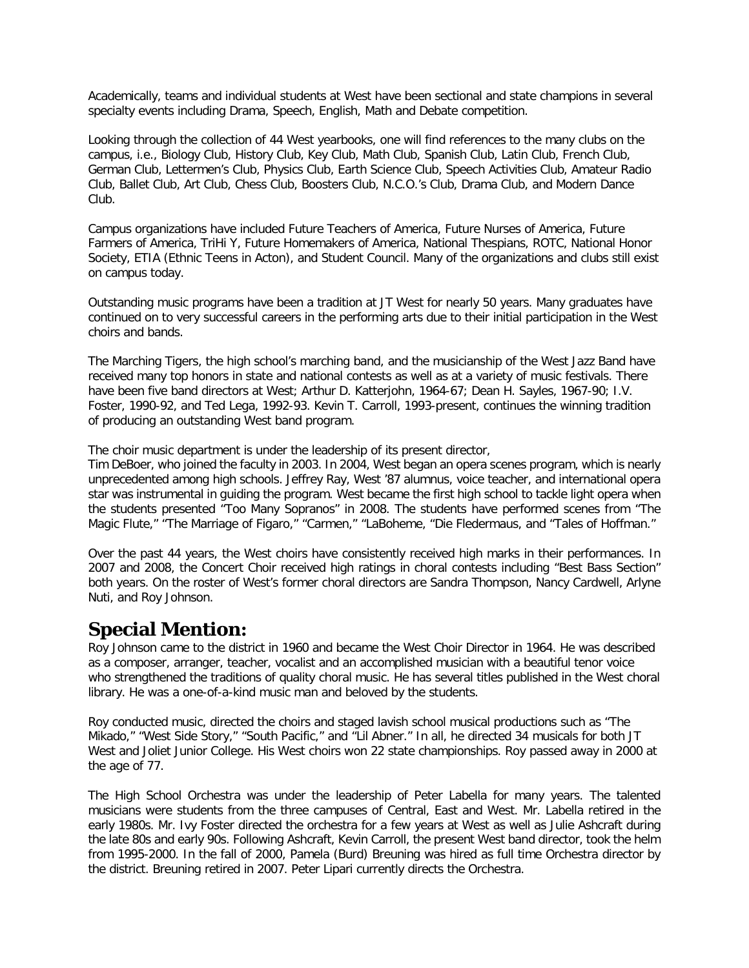Academically, teams and individual students at West have been sectional and state champions in several specialty events including Drama, Speech, English, Math and Debate competition.

Looking through the collection of 44 West yearbooks, one will find references to the many clubs on the campus, i.e., Biology Club, History Club, Key Club, Math Club, Spanish Club, Latin Club, French Club, German Club, Lettermen's Club, Physics Club, Earth Science Club, Speech Activities Club, Amateur Radio Club, Ballet Club, Art Club, Chess Club, Boosters Club, N.C.O.'s Club, Drama Club, and Modern Dance Club.

Campus organizations have included Future Teachers of America, Future Nurses of America, Future Farmers of America, TriHi Y, Future Homemakers of America, National Thespians, ROTC, National Honor Society, ETIA (Ethnic Teens in Acton), and Student Council. Many of the organizations and clubs still exist on campus today.

Outstanding music programs have been a tradition at JT West for nearly 50 years. Many graduates have continued on to very successful careers in the performing arts due to their initial participation in the West choirs and bands.

The Marching Tigers, the high school's marching band, and the musicianship of the West Jazz Band have received many top honors in state and national contests as well as at a variety of music festivals. There have been five band directors at West; Arthur D. Katterjohn, 1964-67; Dean H. Sayles, 1967-90; I.V. Foster, 1990-92, and Ted Lega, 1992-93. Kevin T. Carroll, 1993-present, continues the winning tradition of producing an outstanding West band program.

The choir music department is under the leadership of its present director,

Tim DeBoer, who joined the faculty in 2003. In 2004, West began an opera scenes program, which is nearly unprecedented among high schools. Jeffrey Ray, West '87 alumnus, voice teacher, and international opera star was instrumental in guiding the program. West became the first high school to tackle light opera when the students presented "Too Many Sopranos" in 2008. The students have performed scenes from "The Magic Flute," "The Marriage of Figaro," "Carmen," "LaBoheme, "Die Fledermaus, and "Tales of Hoffman."

Over the past 44 years, the West choirs have consistently received high marks in their performances. In 2007 and 2008, the Concert Choir received high ratings in choral contests including "Best Bass Section" both years. On the roster of West's former choral directors are Sandra Thompson, Nancy Cardwell, Arlyne Nuti, and Roy Johnson.

#### **Special Mention:**

Roy Johnson came to the district in 1960 and became the West Choir Director in 1964. He was described as a composer, arranger, teacher, vocalist and an accomplished musician with a beautiful tenor voice who strengthened the traditions of quality choral music. He has several titles published in the West choral library. He was a one-of-a-kind music man and beloved by the students.

Roy conducted music, directed the choirs and staged lavish school musical productions such as "The Mikado," "West Side Story," "South Pacific," and "Lil Abner." In all, he directed 34 musicals for both JT West and Joliet Junior College. His West choirs won 22 state championships. Roy passed away in 2000 at the age of 77.

The High School Orchestra was under the leadership of Peter Labella for many years. The talented musicians were students from the three campuses of Central, East and West. Mr. Labella retired in the early 1980s. Mr. Ivy Foster directed the orchestra for a few years at West as well as Julie Ashcraft during the late 80s and early 90s. Following Ashcraft, Kevin Carroll, the present West band director, took the helm from 1995-2000. In the fall of 2000, Pamela (Burd) Breuning was hired as full time Orchestra director by the district. Breuning retired in 2007. Peter Lipari currently directs the Orchestra.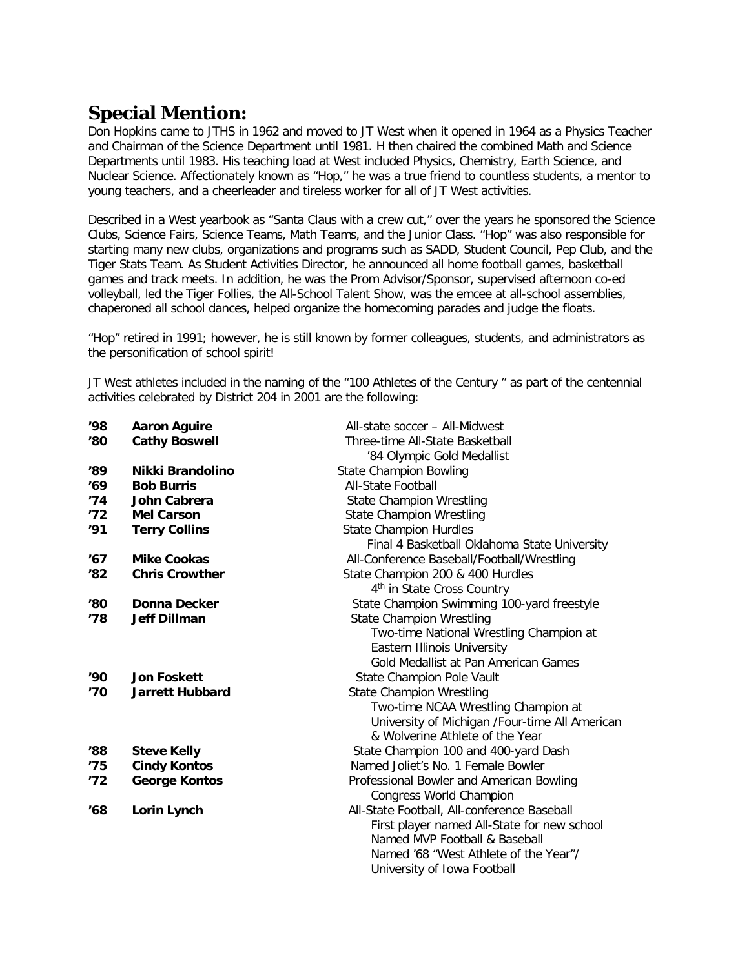## **Special Mention:**

Don Hopkins came to JTHS in 1962 and moved to JT West when it opened in 1964 as a Physics Teacher and Chairman of the Science Department until 1981. H then chaired the combined Math and Science Departments until 1983. His teaching load at West included Physics, Chemistry, Earth Science, and Nuclear Science. Affectionately known as "Hop," he was a true friend to countless students, a mentor to young teachers, and a cheerleader and tireless worker for all of JT West activities.

Described in a West yearbook as "Santa Claus with a crew cut," over the years he sponsored the Science Clubs, Science Fairs, Science Teams, Math Teams, and the Junior Class. "Hop" was also responsible for starting many new clubs, organizations and programs such as SADD, Student Council, Pep Club, and the Tiger Stats Team. As Student Activities Director, he announced all home football games, basketball games and track meets. In addition, he was the Prom Advisor/Sponsor, supervised afternoon co-ed volleyball, led the Tiger Follies, the All-School Talent Show, was the emcee at all-school assemblies, chaperoned all school dances, helped organize the homecoming parades and judge the floats.

"Hop" retired in 1991; however, he is still known by former colleagues, students, and administrators as the personification of school spirit!

JT West athletes included in the naming of the "100 Athletes of the Century " as part of the centennial activities celebrated by District 204 in 2001 are the following:

| '98           | <b>Aaron Aguire</b>    | All-state soccer - All-Midwest                 |
|---------------|------------------------|------------------------------------------------|
| '80           | <b>Cathy Boswell</b>   | Three-time All-State Basketball                |
|               |                        | '84 Olympic Gold Medallist                     |
| '89           | Nikki Brandolino       | <b>State Champion Bowling</b>                  |
| '69           | <b>Bob Burris</b>      | <b>All-State Football</b>                      |
| '74           | John Cabrera           | <b>State Champion Wrestling</b>                |
| '72           | <b>Mel Carson</b>      | <b>State Champion Wrestling</b>                |
| '91           | <b>Terry Collins</b>   | <b>State Champion Hurdles</b>                  |
|               |                        | Final 4 Basketball Oklahoma State University   |
| '67           | <b>Mike Cookas</b>     | All-Conference Baseball/Football/Wrestling     |
| '82           | <b>Chris Crowther</b>  | State Champion 200 & 400 Hurdles               |
|               |                        | 4 <sup>th</sup> in State Cross Country         |
| '80           | Donna Decker           | State Champion Swimming 100-yard freestyle     |
| '78           | <b>Jeff Dillman</b>    | <b>State Champion Wrestling</b>                |
|               |                        | Two-time National Wrestling Champion at        |
|               |                        | <b>Eastern Illinois University</b>             |
|               |                        | Gold Medallist at Pan American Games           |
| '90'          | <b>Jon Foskett</b>     | State Champion Pole Vault                      |
| '70           | <b>Jarrett Hubbard</b> | <b>State Champion Wrestling</b>                |
|               |                        | Two-time NCAA Wrestling Champion at            |
|               |                        | University of Michigan /Four-time All American |
|               |                        | & Wolverine Athlete of the Year                |
| $^{\prime}88$ | <b>Steve Kelly</b>     | State Champion 100 and 400-yard Dash           |
| '75           | <b>Cindy Kontos</b>    | Named Joliet's No. 1 Female Bowler             |
| '72           | <b>George Kontos</b>   | Professional Bowler and American Bowling       |
|               |                        | Congress World Champion                        |
| '68           | Lorin Lynch            | All-State Football, All-conference Baseball    |
|               |                        | First player named All-State for new school    |
|               |                        | Named MVP Football & Baseball                  |
|               |                        | Named '68 "West Athlete of the Year"/          |
|               |                        | University of Iowa Football                    |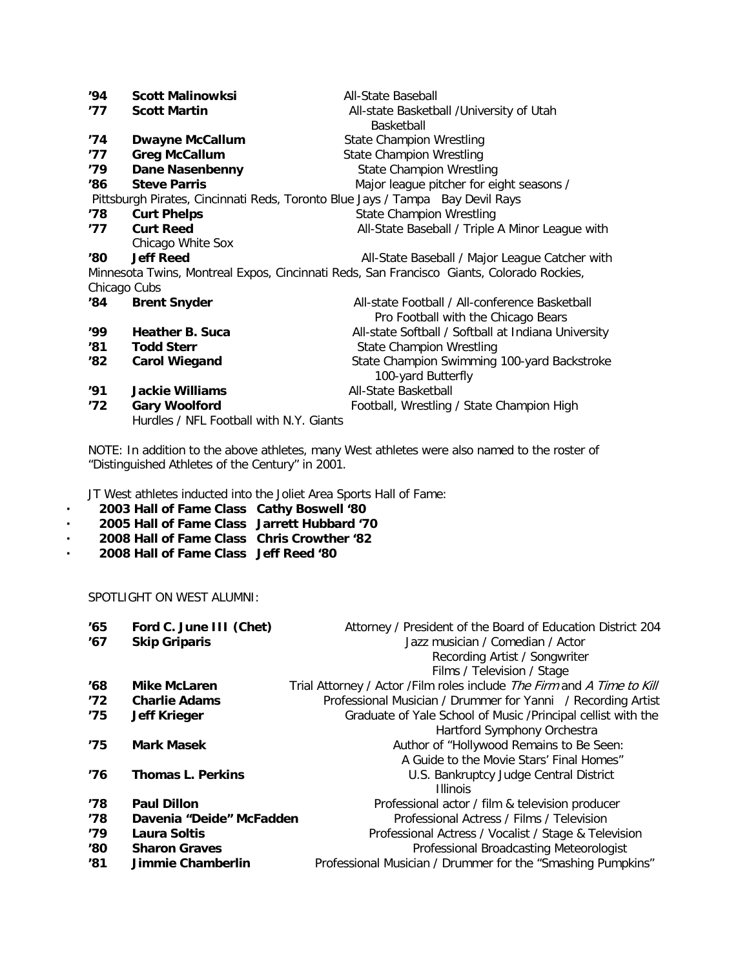| '94'                                                                          | <b>Scott Malinowksi</b>                 | All-State Baseball                                                                        |
|-------------------------------------------------------------------------------|-----------------------------------------|-------------------------------------------------------------------------------------------|
| '77                                                                           | <b>Scott Martin</b>                     | All-state Basketball / University of Utah                                                 |
|                                                                               |                                         | <b>Basketball</b>                                                                         |
| '74                                                                           | <b>Dwayne McCallum</b>                  | <b>State Champion Wrestling</b>                                                           |
| '77                                                                           | <b>Greg McCallum</b>                    | State Champion Wrestling                                                                  |
| '79'                                                                          | <b>Dane Nasenbenny</b>                  | <b>State Champion Wrestling</b>                                                           |
| '86                                                                           | <b>Steve Parris</b>                     | Major league pitcher for eight seasons /                                                  |
| Pittsburgh Pirates, Cincinnati Reds, Toronto Blue Jays / Tampa Bay Devil Rays |                                         |                                                                                           |
| '78                                                                           | <b>Curt Phelps</b>                      | <b>State Champion Wrestling</b>                                                           |
| '77                                                                           | <b>Curt Reed</b>                        | All-State Baseball / Triple A Minor League with                                           |
|                                                                               | Chicago White Sox                       |                                                                                           |
| 180                                                                           | <b>Jeff Reed</b>                        | All-State Baseball / Major League Catcher with                                            |
|                                                                               |                                         | Minnesota Twins, Montreal Expos, Cincinnati Reds, San Francisco Giants, Colorado Rockies, |
| Chicago Cubs                                                                  |                                         |                                                                                           |
| '84                                                                           | <b>Brent Snyder</b>                     | All-state Football / All-conference Basketball                                            |
|                                                                               |                                         | Pro Football with the Chicago Bears                                                       |
| '99'                                                                          | Heather B. Suca                         | All-state Softball / Softball at Indiana University                                       |
| 181                                                                           | <b>Todd Sterr</b>                       | State Champion Wrestling                                                                  |
| '82                                                                           | <b>Carol Wiegand</b>                    | State Champion Swimming 100-yard Backstroke                                               |
|                                                                               |                                         | 100-yard Butterfly                                                                        |
| '91                                                                           | <b>Jackie Williams</b>                  | All-State Basketball                                                                      |
| '72                                                                           | <b>Gary Woolford</b>                    | Football, Wrestling / State Champion High                                                 |
|                                                                               | Hurdles / NFL Football with N.Y. Giants |                                                                                           |

NOTE: In addition to the above athletes, many West athletes were also named to the roster of "Distinguished Athletes of the Century" in 2001.

JT West athletes inducted into the Joliet Area Sports Hall of Fame:

- **· 2003 Hall of Fame Class Cathy Boswell '80**
- **· 2005 Hall of Fame Class Jarrett Hubbard '70**
- **· 2008 Hall of Fame Class Chris Crowther '82**
- **· 2008 Hall of Fame Class Jeff Reed '80**

SPOTLIGHT ON WEST ALUMNI:

| '65 | Ford C. June III (Chet)  | Attorney / President of the Board of Education District 204            |
|-----|--------------------------|------------------------------------------------------------------------|
| '67 | <b>Skip Griparis</b>     | Jazz musician / Comedian / Actor                                       |
|     |                          | Recording Artist / Songwriter                                          |
|     |                          | Films / Television / Stage                                             |
| '68 | <b>Mike McLaren</b>      | Trial Attorney / Actor /Film roles include The Firm and A Time to Kill |
| '72 | <b>Charlie Adams</b>     | Professional Musician / Drummer for Yanni / Recording Artist           |
| '75 | <b>Jeff Krieger</b>      | Graduate of Yale School of Music / Principal cellist with the          |
|     |                          | Hartford Symphony Orchestra                                            |
| '75 | <b>Mark Masek</b>        | Author of "Hollywood Remains to Be Seen:                               |
|     |                          | A Guide to the Movie Stars' Final Homes"                               |
| '76 | <b>Thomas L. Perkins</b> | U.S. Bankruptcy Judge Central District                                 |
|     |                          | <b>Illinois</b>                                                        |
| '78 | <b>Paul Dillon</b>       | Professional actor / film & television producer                        |
| '78 | Davenia "Deide" McFadden | Professional Actress / Films / Television                              |
| '79 | Laura Soltis             | Professional Actress / Vocalist / Stage & Television                   |
| '80 | <b>Sharon Graves</b>     | Professional Broadcasting Meteorologist                                |
| '81 | Jimmie Chamberlin        | Professional Musician / Drummer for the "Smashing Pumpkins"            |